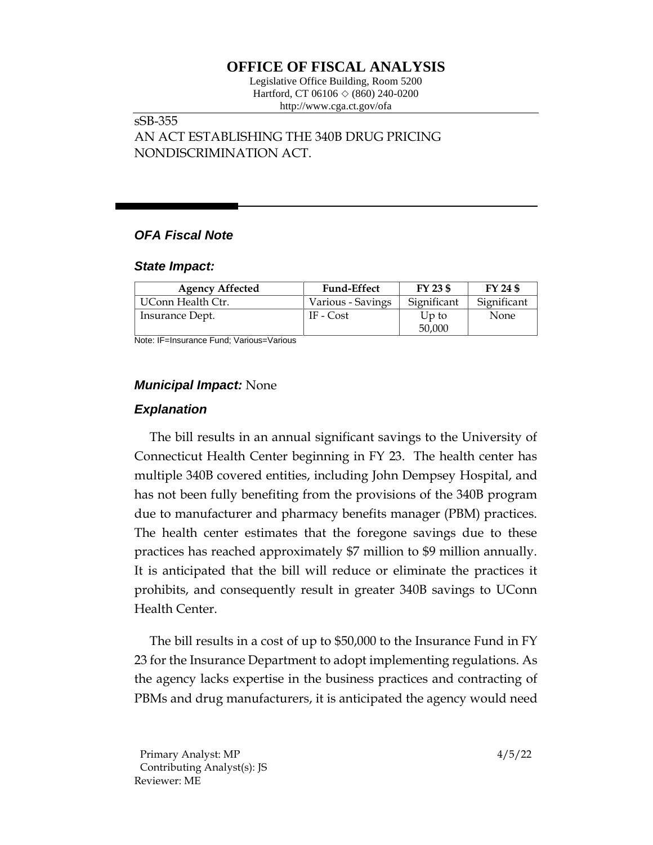# **OFFICE OF FISCAL ANALYSIS**

Legislative Office Building, Room 5200 Hartford, CT 06106  $\Diamond$  (860) 240-0200 http://www.cga.ct.gov/ofa

### sSB-355 AN ACT ESTABLISHING THE 340B DRUG PRICING NONDISCRIMINATION ACT.

## *OFA Fiscal Note*

#### *State Impact:*

| <b>Agency Affected</b> | <b>Fund-Effect</b> | FY 23 \$        | FY 24 \$    |
|------------------------|--------------------|-----------------|-------------|
| UConn Health Ctr.      | Various - Savings  | Significant     | Significant |
| Insurance Dept.        | IF - Cost          | Up to<br>50,000 | None        |

Note: IF=Insurance Fund; Various=Various

## *Municipal Impact:* None

## *Explanation*

The bill results in an annual significant savings to the University of Connecticut Health Center beginning in FY 23. The health center has multiple 340B covered entities, including John Dempsey Hospital, and has not been fully benefiting from the provisions of the 340B program due to manufacturer and pharmacy benefits manager (PBM) practices. The health center estimates that the foregone savings due to these practices has reached approximately \$7 million to \$9 million annually. It is anticipated that the bill will reduce or eliminate the practices it prohibits, and consequently result in greater 340B savings to UConn Health Center.

The bill results in a cost of up to \$50,000 to the Insurance Fund in FY 23 for the Insurance Department to adopt implementing regulations. As the agency lacks expertise in the business practices and contracting of PBMs and drug manufacturers, it is anticipated the agency would need